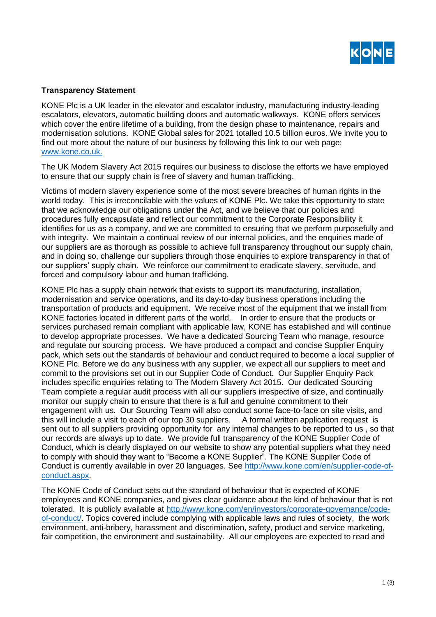

## **Transparency Statement**

KONE Plc is a UK leader in the elevator and escalator industry, manufacturing industry-leading escalators, elevators, automatic building doors and automatic walkways. KONE offers services which cover the entire lifetime of a building, from the design phase to maintenance, repairs and modernisation solutions. KONE Global sales for 2021 totalled 10.5 billion euros. We invite you to find out more about the nature of our business by following this link to our web page: [www.kone.c](http://www.kone./)o.uk.

The UK Modern Slavery Act 2015 requires our business to disclose the efforts we have employed to ensure that our supply chain is free of slavery and human trafficking.

Victims of modern slavery experience some of the most severe breaches of human rights in the world today. This is irreconcilable with the values of KONE Plc. We take this opportunity to state that we acknowledge our obligations under the Act, and we believe that our policies and procedures fully encapsulate and reflect our commitment to the Corporate Responsibility it identifies for us as a company, and we are committed to ensuring that we perform purposefully and with integrity. We maintain a continual review of our internal policies, and the enquiries made of our suppliers are as thorough as possible to achieve full transparency throughout our supply chain, and in doing so, challenge our suppliers through those enquiries to explore transparency in that of our suppliers' supply chain. We reinforce our commitment to eradicate slavery, servitude, and forced and compulsory labour and human trafficking.

KONE Plc has a supply chain network that exists to support its manufacturing, installation, modernisation and service operations, and its day-to-day business operations including the transportation of products and equipment. We receive most of the equipment that we install from KONE factories located in different parts of the world. In order to ensure that the products or services purchased remain compliant with applicable law, KONE has established and will continue to develop appropriate processes. We have a dedicated Sourcing Team who manage, resource and regulate our sourcing process. We have produced a compact and concise Supplier Enquiry pack, which sets out the standards of behaviour and conduct required to become a local supplier of KONE Plc. Before we do any business with any supplier, we expect all our suppliers to meet and commit to the provisions set out in our Supplier Code of Conduct. Our Supplier Enquiry Pack includes specific enquiries relating to The Modern Slavery Act 2015. Our dedicated Sourcing Team complete a regular audit process with all our suppliers irrespective of size, and continually monitor our supply chain to ensure that there is a full and genuine commitment to their engagement with us. Our Sourcing Team will also conduct some face-to-face on site visits, and this will include a visit to each of our top 30 suppliers. A formal written application request is sent out to all suppliers providing opportunity for any internal changes to be reported to us , so that our records are always up to date. We provide full transparency of the KONE Supplier Code of Conduct, which is clearly displayed on our website to show any potential suppliers what they need to comply with should they want to "Become a KONE Supplier". The KONE Supplier Code of Conduct is currently available in over 20 languages. See [http://www.kone.com/en/supplier-code-of](http://www.kone.com/en/supplier-code-of-conduct.aspx)[conduct.aspx.](http://www.kone.com/en/supplier-code-of-conduct.aspx)

The KONE Code of Conduct sets out the standard of behaviour that is expected of KONE employees and KONE companies, and gives clear guidance about the kind of behaviour that is not tolerated. It is publicly available at [http://www.kone.com/en/investors/corporate-governance/code](http://www.kone.com/en/investors/corporate-governance/code-of-conduct/)[of-conduct/.](http://www.kone.com/en/investors/corporate-governance/code-of-conduct/) Topics covered include complying with applicable laws and rules of society, the work environment, anti-bribery, harassment and discrimination, safety, product and service marketing, fair competition, the environment and sustainability. All our employees are expected to read and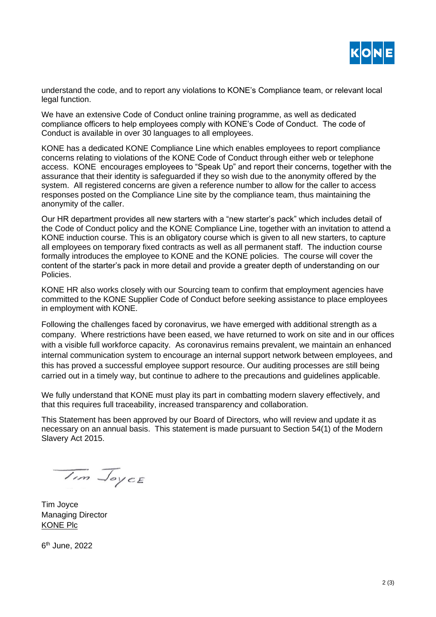

understand the code, and to report any violations to KONE's Compliance team, or relevant local legal function.

We have an extensive Code of Conduct online training programme, as well as dedicated compliance officers to help employees comply with KONE's Code of Conduct. The code of Conduct is available in over 30 languages to all employees.

KONE has a dedicated KONE Compliance Line which enables employees to report compliance concerns relating to violations of the KONE Code of Conduct through either web or telephone access. KONE encourages employees to "Speak Up" and report their concerns, together with the assurance that their identity is safeguarded if they so wish due to the anonymity offered by the system. All registered concerns are given a reference number to allow for the caller to access responses posted on the Compliance Line site by the compliance team, thus maintaining the anonymity of the caller.

Our HR department provides all new starters with a "new starter's pack" which includes detail of the Code of Conduct policy and the KONE Compliance Line, together with an invitation to attend a KONE induction course. This is an obligatory course which is given to all new starters, to capture all employees on temporary fixed contracts as well as all permanent staff. The induction course formally introduces the employee to KONE and the KONE policies. The course will cover the content of the starter's pack in more detail and provide a greater depth of understanding on our Policies.

KONE HR also works closely with our Sourcing team to confirm that employment agencies have committed to the KONE Supplier Code of Conduct before seeking assistance to place employees in employment with KONE.

Following the challenges faced by coronavirus, we have emerged with additional strength as a company. Where restrictions have been eased, we have returned to work on site and in our offices with a visible full workforce capacity. As coronavirus remains prevalent, we maintain an enhanced internal communication system to encourage an internal support network between employees, and this has proved a successful employee support resource. Our auditing processes are still being carried out in a timely way, but continue to adhere to the precautions and guidelines applicable.

We fully understand that KONE must play its part in combatting modern slavery effectively, and that this requires full traceability, increased transparency and collaboration.

This Statement has been approved by our Board of Directors, who will review and update it as necessary on an annual basis. This statement is made pursuant to Section 54(1) of the Modern Slavery Act 2015.

Im Joyce

Tim Joyce Managing Director KONE Plc

6 th June, 2022